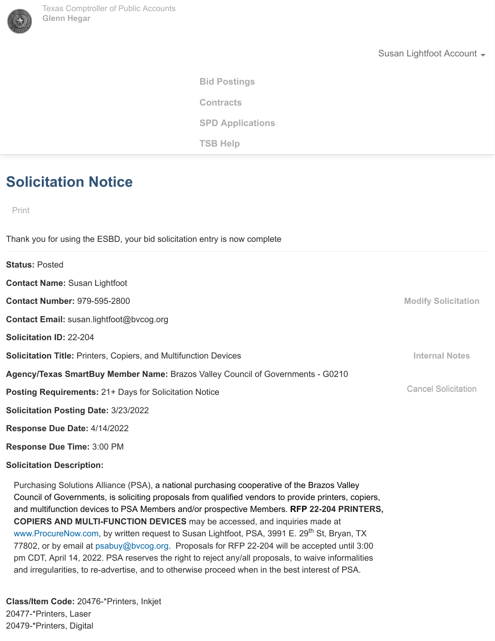

Susan Lightfoot Account  $\sim$ 

**[Bid Postings](http://www.txsmartbuy.com/#esbd) [TSB Help](http://www.txsmartbuy.com/#help) Contracts SPD Applications** 

## **Solicitation Notice**

Print

Thank you for using the ESBD, your bid solicitation entry is now complete

**Status:** Posted **Contact Name:** Susan Lightfoot **Contact Number:** 979-595-2800 **Contact Email:** susan.lightfoot@bvcog.org **Solicitation ID:** 22-204 **Solicitation Title:** Printers, Copiers, and Multifunction Devices **Agency/Texas SmartBuy Member Name:** Brazos Valley Council of Governments - G0210 **Posting Requirements:** 21+ Days for Solicitation Notice **Solicitation Posting Date:** 3/23/2022 **Response Due Date:** 4/14/2022 **Response Due Time:** 3:00 PM **Solicitation Description: Modify Solicitation Internal Notes** Cancel Solicitation

Purchasing Solutions Alliance (PSA), a national purchasing cooperative of the Brazos Valley Council of Governments, is soliciting proposals from qualified vendors to provide printers, copiers, and multifunction devices to PSA Members and/or prospective Members. **RFP 22-204 PRINTERS, COPIERS AND MULTI-FUNCTION DEVICES** may be accessed, and inquiries made at [www.ProcureNow.com](http://www.procurenow.com/), by written request to Susan Lightfoot, PSA, 3991 E. 29<sup>th</sup> St, Bryan, TX 77802, or by email at [psabuy@bvcog.org](mailto:psabuy@bvcog.org). Proposals for RFP 22-204 will be accepted until 3:00 pm CDT, April 14, 2022. PSA reserves the right to reject any/all proposals, to waive informalities and irregularities, to re-advertise, and to otherwise proceed when in the best interest of PSA.

**Class/Item Code:** 20476-\*Printers, Inkjet 20477-\*Printers, Laser 20479-\*Printers, Digital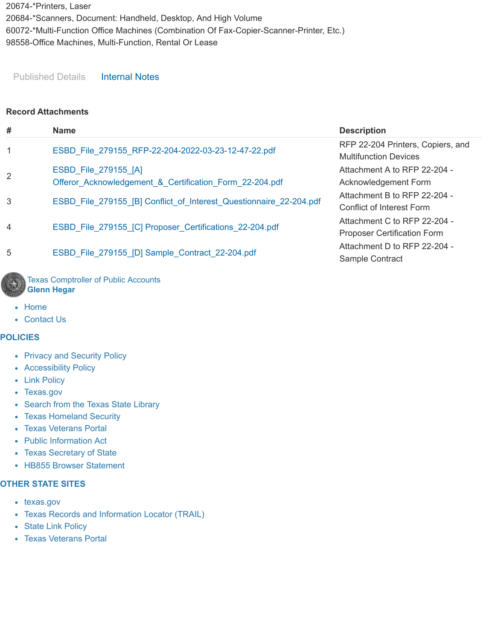20674-\*Printers, Laser 20684-\*Scanners, Document: Handheld, Desktop, And High Volume 60072-\*Multi-Function Office Machines (Combination Of Fax-Copier-Scanner-Printer, Etc.) 98558-Office Machines, Multi-Function, Rental Or Lease

Published Details Internal Notes

## **Record Attachments**

| #              | <b>Name</b>                                                                            | <b>Description</b>                                                 |
|----------------|----------------------------------------------------------------------------------------|--------------------------------------------------------------------|
| $\mathbf{1}$   | ESBD File 279155 RFP-22-204-2022-03-23-12-47-22.pdf                                    | RFP 22-204 Printers, Copiers, and<br><b>Multifunction Devices</b>  |
| 2              | <b>ESBD File 279155 [A]</b><br>Offeror Acknowledgement & Certification Form 22-204.pdf | Attachment A to RFP 22-204 -                                       |
|                |                                                                                        | Acknowledgement Form<br>Attachment B to RFP 22-204 -               |
| 3              | ESBD_File_279155_[B] Conflict_of_Interest_Questionnaire_22-204.pdf                     | Conflict of Interest Form                                          |
| $\overline{4}$ | ESBD File 279155 [C] Proposer Certifications 22-204.pdf                                | Attachment C to RFP 22-204 -<br><b>Proposer Certification Form</b> |
| 5              | ESBD File 279155 [D] Sample Contract 22-204.pdf                                        | Attachment D to RFP 22-204 -<br>Sample Contract                    |
|                | Texas Comptroller of Public Accounts                                                   |                                                                    |

• [Home](http://comptroller.texas.gov/)

• [Contact Us](http://comptroller.texas.gov/about/contact/)

**Glenn Hegar**

## **POLICIES**

- [Privacy and Security Policy](https://comptroller.texas.gov/about/policies/privacy.php)
- [Accessibility Policy](https://comptroller.texas.gov/about/policies/accessibility.php)
- [Link Policy](https://comptroller.texas.gov/about/policies/links.php)
- [Texas.gov](http://texas.gov/)
- [Search from the Texas State Library](https://www.tsl.texas.gov/trail/index.html)
- [Texas Homeland Security](http://www.dhs.gov/geography/texas)
- [Texas Veterans Portal](https://veterans.portal.texas.gov/)
- [Public Information Act](https://comptroller.texas.gov/about/policies/public-information-act.php)
- [Texas Secretary of State](http://www.sos.state.tx.us/)
- HB855 Browser Statement

#### **OTHER STATE SITES**

- [texas.gov](https://www.texas.gov/)
- [Texas Records and Information Locator \(TRAIL\)](http://www.tsl.state.tx.us/trail/)
- [State Link Policy](http://publishingext.dir.texas.gov/portal/internal/resources/DocumentLibrary/State%20Website%20Linking%20and%20Privacy%20Policy.pdf)
- [Texas Veterans Portal](http://veterans.portal.texas.gov/)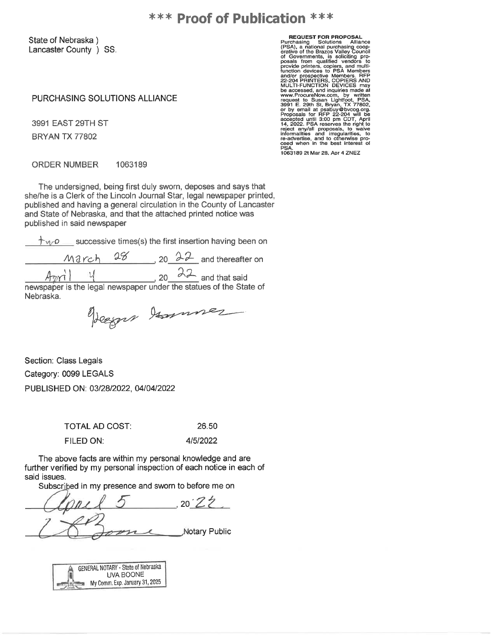State of Nebraska) Lancaster County ) SS.

PURCHASING SOLUTIONS ALLIANCE

3991 EAST 29TH ST **BRYAN TX 77802** 

**REQUEST FOR PROPOSAL**<br>
Purchasing Solutions Alliance<br>
(PSA), a national purchasing coop-<br>
erative of the Brazos Valley Council<br>
of Governments, is solicing pro-<br>
provide princes, covers, and multi-<br>
provide princes to PSA

**ORDER NUMBER** 1063189

The undersigned, being first duly sworn, deposes and says that she/he is a Clerk of the Lincoln Journal Star, legal newspaper printed, published and having a general circulation in the County of Lancaster and State of Nebraska, and that the attached printed notice was published in said newspaper

 $\uparrow$   $\vee$   $\circ$  successive times(s) the first insertion having been on

20  $22$  and thereafter on 28 March

 $22$  and that said U. 20 newspaper is the legal newspaper under the statues of the State of

Nebraska.

Vegger Jannes

Section: Class Legals Category: 0099 LEGALS PUBLISHED ON: 03/28/2022, 04/04/2022

**TOTAL AD COST:** 

26.50

FILED ON:

4/5/2022

The above facts are within my personal knowledge and are further verified by my personal inspection of each notice in each of said issues.

Subscribed in my presence and sworn to before me on

 $20.77$ Notary Public

GENERAL NOTARY - State of Nebraska UVA BOONE My Comm. Exp. January 31, 2025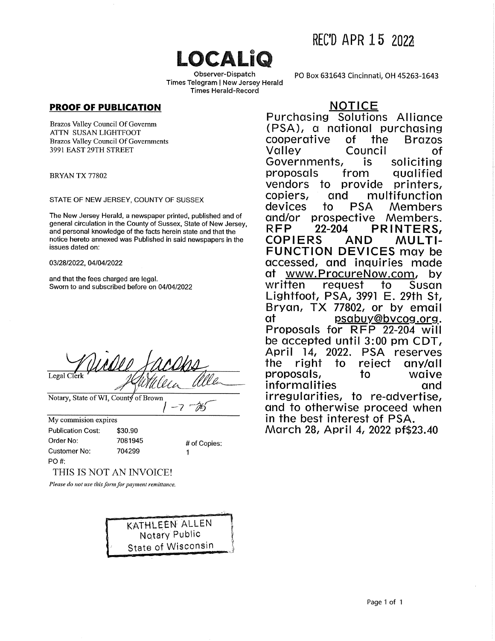# LOCALIO

Observer-Dispatch Times Telegram | New Jersey Herald **Times Herald-Record** 

## **PROOF OF PUBLICATION**

Brazos Valley Council Of Governm ATTN SUSAN LIGHTFOOT **Brazos Valley Council Of Governments** 3991 EAST 29TH STREET

BRYAN TX 77802

#### STATE OF NEW JERSEY, COUNTY OF SUSSEX

The New Jersey Herald, a newspaper printed, published and of general circulation in the County of Sussex, State of New Jersey, and personal knowledge of the facts herein state and that the notice hereto annexed was Published in said newspapers in the issues dated on:

#### 03/28/2022, 04/04/2022

and that the fees charged are legal. Sworn to and subscribed before on 04/04/2022

|             | Midde Facess |        |  |
|-------------|--------------|--------|--|
| Legal Clerk |              | Alleen |  |

Notary, State of WI, County of Brown

My commision expires **Publication Cost:** \$30.90 Order No: 7081945 **Customer No:** 704299 PO #:

# of Copies:

Ŵ

 $7<sup>o</sup>$ 

THIS IS NOT AN INVOICE!

Please do not use this form for payment remittance.

KATHLEEN ALLEN **Notary Public State of Wisconsin**  PO Box 631643 Cincinnati, OH 45263-1643

## **NOTICE**

Purchasing Solutions Alliance (PSA), a national purchasing cooperative **of** the **Brazos** Valley Council Ωf Governments, is soliciting proposals from qualified vendors to provide printers. copiers, and multifunction devices to **PSA** Members prospective and/or Members. **RFP**  $22 - 204$ PRINTERS, **COPIERS AND MULTI-FUNCTION DEVICES may be** accessed, and inquiries made www.ProcureNow.com, αt by written request to Susan Lightfoot, PSA, 3991 E. 29th St, Bryan, TX 77802, or by email psabuy@bycog.org. at Proposals for RFP 22-204 will be accepted until 3:00 pm CDT, April 14, 2022. PSA reserves the to riaht reject any/all proposals, to waive informalities and irregularities, to re-advertise, and to otherwise proceed when in the best interest of PSA. March 28, April 4, 2022 pf\$23.40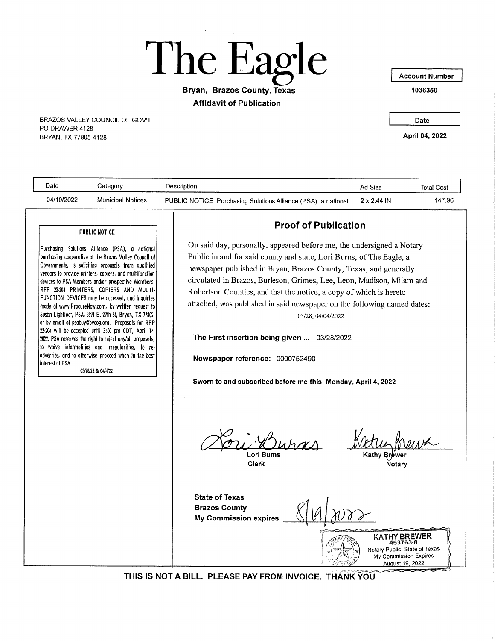The Eagle

## Bryan, Brazos County, Texas **Affidavit of Publication**

BRAZOS VALLEY COUNCIL OF GOV'T PO DRAWER 4128 BRYAN, TX 77805-4128

**Account Number** 

1036350

Date

April 04, 2022

| Date             | Category                                                                                                                                                                                                                                                                                                                                                                                                                                                                                                                                                                                                                                                                                                                                                                                                                                | Description                                                                                                                                                                                                                                                                                                                                                                                                                                                                                                                                                                                                                                                                                                                                                       | Ad Size                                                   | <b>Total Cost</b>             |
|------------------|-----------------------------------------------------------------------------------------------------------------------------------------------------------------------------------------------------------------------------------------------------------------------------------------------------------------------------------------------------------------------------------------------------------------------------------------------------------------------------------------------------------------------------------------------------------------------------------------------------------------------------------------------------------------------------------------------------------------------------------------------------------------------------------------------------------------------------------------|-------------------------------------------------------------------------------------------------------------------------------------------------------------------------------------------------------------------------------------------------------------------------------------------------------------------------------------------------------------------------------------------------------------------------------------------------------------------------------------------------------------------------------------------------------------------------------------------------------------------------------------------------------------------------------------------------------------------------------------------------------------------|-----------------------------------------------------------|-------------------------------|
| 04/10/2022       | <b>Municipal Notices</b>                                                                                                                                                                                                                                                                                                                                                                                                                                                                                                                                                                                                                                                                                                                                                                                                                | PUBLIC NOTICE Purchasing Solutions Alliance (PSA), a national                                                                                                                                                                                                                                                                                                                                                                                                                                                                                                                                                                                                                                                                                                     | 2 x 2.44 IN                                               | 147.96                        |
| interest of PSA. | <b>PUBLIC NOTICE</b><br>Purchasing Solutions Alliance (PSA), a national<br>purchasing cooperative of the Brazos Valley Council of<br>Governments, is soliciting proposals from qualified<br>vendors to provide printers, copiers, and multifunction<br>devices to PSA Members and/or prospective Members.<br>RFP 22-204 PRINTERS, COPIERS AND MULTI-<br>FUNCTION DEVICES may be accessed, and inquiries<br>made at www.ProcureNow.com, by written request to<br>Suson Lightfoot, PSA, 3991 E. 29th St, Bryan, TX 77802,  <br>or by email at psabuy@bycog.org. Proposals for RFP<br>22-204 will be accepted until 3:00 pm CDT, April 14,<br>2022. PSA reserves the right to reject any/all proposals,<br>to waive informalities and irregularities, to re-<br>advertise, and to otherwise proceed when in the best<br>03/28/22 & 04/4/22 | <b>Proof of Publication</b><br>On said day, personally, appeared before me, the undersigned a Notary<br>Public in and for said county and state, Lori Burns, of The Eagle, a<br>newspaper published in Bryan, Brazos County, Texas, and generally<br>circulated in Brazos, Burleson, Grimes, Lee, Leon, Madison, Milam and<br>Robertson Counties, and that the notice, a copy of which is hereto<br>attached, was published in said newspaper on the following named dates:<br>03/28, 04/04/2022<br>The First insertion being given  03/28/2022<br>Newspaper reference: 0000752490<br>Sworn to and subscribed before me this Monday, April 4, 2022<br>Lori Burns<br><b>Clerk</b><br><b>State of Texas</b><br><b>Brazos County</b><br><b>My Commission expires</b> | <b>Kathy Brewer</b><br>Notary<br>KATHY BREWER<br>453763-8 |                               |
|                  |                                                                                                                                                                                                                                                                                                                                                                                                                                                                                                                                                                                                                                                                                                                                                                                                                                         |                                                                                                                                                                                                                                                                                                                                                                                                                                                                                                                                                                                                                                                                                                                                                                   | My Commission Expires<br>August 19, 2022                  | Notary Public, State of Texas |
|                  |                                                                                                                                                                                                                                                                                                                                                                                                                                                                                                                                                                                                                                                                                                                                                                                                                                         | THIS IS NOT A BILL. PLEASE PAY FROM INVOICE. THANK YOU                                                                                                                                                                                                                                                                                                                                                                                                                                                                                                                                                                                                                                                                                                            |                                                           |                               |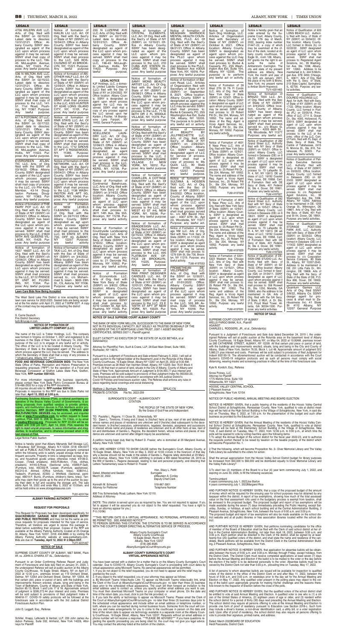**FOOD AND BEVERAGE CONCESSION BIDS:** The New York State Office of Parks, Recreation and Historic Preservation is requesting proposals ("RFP") for the operation of a Food and Concession at Grafton Lakes State Park, Grafton, New York, **RFP number X001433.**

#### **NOTICE OF FORMATION OF LIMITED LIABILITY COMPANY (LLC)**

The name of the LLC is Tobler Holdings, LLC. The company<br>was formed in Virginia on October 1, 2021 and registered to do<br>business in the State of New York on February 14, 2022. The<br>purpose of the LLC is to engage in any law

S. Carrie Deutsch Fire District Secretary bofc@nycap.rr.com

**NOTICE OF SALE SUPREME COURT ALBANY COUNTY**

THE BANK OF NEW YORK MELLON, SUCCESSOR TO THE BANK OF NEW YORK, NOT IN ITS INDIVIDUAL CAPACITY, BUT SOLELY AS TRUSTEE ON BEHALF OF THE HOLDERS OF THE CIT MORTGAGE LOAN TRUST, 2007-1 ASSET-BACKED

CERTIFICATES, SERIES 2007-1, Plaintiff against

EULET CATNOTT AS EXECUTOR OF THE ESTATE OF ALICE BETHEA, et al Defendant(s)

Pursuant to a Judgment of Foreclosure and Sale duly dated December 24, 2019 I, the under-<br>signed Referee will sell at public auction at the Rotunda area on the basement level of Albany<br>County Courthouse, 16 Eagle Street, A System's COVID-19 mitigation protocols and as such all persons must comply with social distancing, wearing masks and screening practices in effect at the time of this foreclosure sale.

Attorney for Plaintiff(s) Fein, Such & Crane, LLP, 28 East Main Street, Suite 1800, Rochester, NY 14614.

| For more information regarding this business opportunity<br>please contact New York State Park's Concession Bureau at                                                                                                                                             | Covid-19 Policies and foreclosure auction rules. The Referee shall enforce any rules in<br>place regarding facial coverings and social distancing.                                                                                                                                                                                                                                                                                                                     | 1775 Wenne Drive, Suite TOO<br>Williamsville, NY 14221                                                                                                                                                                                                                                                                                                                                                                      |
|-------------------------------------------------------------------------------------------------------------------------------------------------------------------------------------------------------------------------------------------------------------------|------------------------------------------------------------------------------------------------------------------------------------------------------------------------------------------------------------------------------------------------------------------------------------------------------------------------------------------------------------------------------------------------------------------------------------------------------------------------|-----------------------------------------------------------------------------------------------------------------------------------------------------------------------------------------------------------------------------------------------------------------------------------------------------------------------------------------------------------------------------------------------------------------------------|
| 518-486-2932 for a copy of the RFP documents.<br>All inquiries should refer to RFP number X001433.                                                                                                                                                                | Matthew J. Burnham, Referee<br>SPSJC176                                                                                                                                                                                                                                                                                                                                                                                                                                | HOOSIC VALLEY CENTRAL SCHOOL                                                                                                                                                                                                                                                                                                                                                                                                |
| Proposals in response to this RFP are due to State Parks not<br>later than: April 13, 2022 at 3:00 p.m.                                                                                                                                                           | PROBATE CITATION<br>File No. 2022-299                                                                                                                                                                                                                                                                                                                                                                                                                                  | 2 Pleasant Avenue<br>Schaghticoke, New York 12154                                                                                                                                                                                                                                                                                                                                                                           |
| Purchasing Solutions Alliance (PSA), a national purchasing co-<br>operative of the Brazos Valley Council of Governments, is so-                                                                                                                                   | SURROGATE'S COURT - ALBANYCOUNTY<br><b>CITATION</b>                                                                                                                                                                                                                                                                                                                                                                                                                    | NOTICE OF PUBLIC HEARING, ANNUAL MEETING AND BOARD ELECTION                                                                                                                                                                                                                                                                                                                                                                 |
| liciting proposals from qualified vendors to provide printers,<br>copiers, and multifunction devices to PSA Members and/or pro-<br>spective Members. RFP 22-204 PRINTERS, COPIERS AND<br><b>MULTI-FUNCTION DEVICES</b> may be accessed, and inquiries             | THE PEOPLE OF THE STATE OF NEW YORK.<br>By the Grace of God Free and Independent                                                                                                                                                                                                                                                                                                                                                                                       | NOTICE IS HEREBY GIVEN, that a public hearing of the residents of the Hoosic Valley Central<br>School District at Schaghticoke, Rensselaer County, New York, qualified to vote at district meet<br>ings will be held at the High School Building in the Village of Schaghticoke, New York, in said dis-<br>trict on Thursday, May 5, 2022, at 7:00 p.m. for the presentation of the budget and such other                   |
| made at www.ProcureNow.com, by written request to Susan<br>Lightfoot, PSA, 3991 E. 29th St, Bryan, TX 77802, or by email<br>at <b>psabuy@bvcog.org</b> . Proposals for RFP 22-204 will be ac-                                                                     | TO: Paulette L. Ragone, 11 Close St., Schenectady, NY<br>TO: Dawn L. Timmons, if living and if dead, to [his/her] heirs at law, next of kin and distributees<br>whose names and places of residence are unknown and if [he/she] died subsequent to the dece-                                                                                                                                                                                                           | business as provided by the Education Law.<br>NOTICE IS HEREBY GIVEN, that the Annual Meeting of the residents of the Hoosic Valley Cen-                                                                                                                                                                                                                                                                                    |
| cepted until 3:00 pm CDT, April 14, 2022. PSA reserves the<br>right to reject any/all proposals, to waive informalities and irreg-<br>ularities, to re-advertise, and to otherwise proceed when in the<br>best interest of PSA.                                   | dent herein, to [his/her] executors, administrators, legatees, devisees, assignees and successors<br>in interest whose name and places of residence are unknown and to all other heirs at law, next of<br>kin and distributees of Sandra L. Ragone, the decedent herein, whose names and places of resi-<br>dence are unknown and cannot after diligent inquiry be ascertained.                                                                                        | tral School District at Schaghticoke, Rensselaer County, New York, qualified to vote at district<br>meetings will be held at the Elementary School Building in the Village of Schaghticoke, New<br>York, in said district on Tuesday, May 17, 2022, from 12:00 p.m. to 9:00 p.m., at which time the<br>polls will be opened to vote by voting machine upon the following items:                                             |
| Legal Notice Public Auction<br>Notice is hereby given that Albany Menands Self Storage LLC                                                                                                                                                                        | A petition having been duly filed by Robert D. Frasier, who is domiciled at 29 Maryland Avenue,<br>Albany, New York 12205                                                                                                                                                                                                                                                                                                                                              | 1. To adopt the Annual Budget of the school district for the fiscal year 2022-23, and to authorize<br>the requisite portion thereof to be raised by taxation on the taxable property of the district which<br>will become Proposition No. 1.                                                                                                                                                                                |
| 1 Broadway Self Storage, Albany N.Y.12204 (518) 694-0077<br>will sell at PUBLIC AUCTION the personal property contained<br>within the following units to satisfy unpaid storage rental of de-<br>linguent accounts. Property in bins is categorized as bags, box- | YOU ARE HEREBY CITED TO SHOW CAUSE before the Surrogate's Court, Albany County, at<br>16 Eagle Street, Albany, New York on May 3, 2022 at 10:00 o'clock in the forenoon of that day<br>why a decree should not be made in the estate of Sandra L. Ragone lately domiciled at 29 Mary-                                                                                                                                                                                  | 2. That the following, which will become Proposition No. 2– Diver Memorial Library and The Valley<br>Falls Library be submitted to the voters for action:                                                                                                                                                                                                                                                                   |
| es, and household goods unless otherwise noted. #4106-D.<br>Cooper, (Tote& sneakers). #455-R.Morton, (Tote, clothes,<br>sneakers). #4145-S.Rose, (Sectional sofa). #3096-P.Galli,                                                                                 | land Avenue, Albany, New York 12205 admitting to probate a Will dated November 28, 2016 as<br>the Will of Sandra L. Ragone deceased, relating to real and personal property, and directing that<br>Letters Testamentary issue to Robert D. Frasier                                                                                                                                                                                                                     | Shall the annual appropriation from the Hoosic Valley School District budget for library purposes<br>be increased from \$50,000 to \$60,000 and be distributed equally to Diver Memorial Library and<br>the Valley Falls Library?                                                                                                                                                                                           |
| (Furniture, tote). #5C002-R. Loeper, (Furniture, appliances)<br>#5C012-A. Ahmed, (Office furniture, totes). #2B014-J.<br>Tedeschi, (Furniture). #2305- J. Whitfield, (Sectional, paint-<br>ings). #B014-F. Burris, (Furniture, children's items, totes). Ten-     | Hon. Stacy L. Pettit<br>Dated, Attested and Sealed<br>Surrogate<br>March 22, 2022<br>s/Maureen A. Conley                                                                                                                                                                                                                                                                                                                                                               | 3. To elect two (2) members of the Board to a four (4) year term commencing July 1, 2022, and<br>expiring on June 30, 2026, to fill the following vacancies:                                                                                                                                                                                                                                                                |
| ants may claim their goods up to the end of the auction by pay-<br>ing their debt in full and vacating the storage unit. The sale<br>starts April 18, 2022 and ends May 2, 2022 at 10:00am, and                                                                   | Deputy Chief Clerk<br>Kenneth M. Schwartz<br>518-867-3001                                                                                                                                                                                                                                                                                                                                                                                                              | TermIncumbent<br>4 years commencing July 1, 2022Joe Barton<br>4 years commencing July 1, 2022Margaret Rice                                                                                                                                                                                                                                                                                                                  |
| will be held online on www.storagetreasures.com                                                                                                                                                                                                                   | Attorney for Petitioner<br><b>Telephone Number</b><br>800 Troy Schenectady Road, Latham, New York 12110                                                                                                                                                                                                                                                                                                                                                                | AND FURTHER NOTICE IS HEREBY GIVEN, that a copy of the proposed budget of the amount<br>of money which will be required for the ensuing year for school purposes may be obtained by any                                                                                                                                                                                                                                     |
| TU2t 4201764<br><b>ALBANY PARKING AUTHORITY</b>                                                                                                                                                                                                                   | <b>Address of Attornev</b>                                                                                                                                                                                                                                                                                                                                                                                                                                             | taxpayer within the district. A report of tax exemptions, showing how much of the total assessed<br>value on the final assessment rolls used in the budgetary process is exempt from taxation, shall                                                                                                                                                                                                                        |
|                                                                                                                                                                                                                                                                   |                                                                                                                                                                                                                                                                                                                                                                                                                                                                        |                                                                                                                                                                                                                                                                                                                                                                                                                             |
| <b>REQUEST FOR PROPOSALS</b>                                                                                                                                                                                                                                      | [NOTE: This citation is served upon you as required by law. You are not required to appear. If you<br>fail to appear it will be assumed you do not object to the relief requested. You have a right to<br>have an attorney appear for you.]<br>P-5 (10/96)                                                                                                                                                                                                             | be annexed to the proposed budget. The proposed budget and report of tax exemptions will be<br>made available during the seven (7) days immediately preceding the Public Hearing, except Sat-<br>urday, Sunday, or holidays, at each school building and at the Central Administration Building, 2<br>Pleasant Avenue, Schaghticoke, New York, between the hours of 9:00 a.m. and 3:00 p.m.                                 |
| This Request for Proposals has been developed specifically for<br>QUACKENBUSH GARAGE NEW CONVENIENCE ENTRY<br>AND PUBLIC RESTROOMS and may not be the same as pre-<br>vious requests for proposals intended for this type of service.                             | ***THIS RETURN DATE IS A VIRTUAL APPEARANCE. NO PERSONAL APPEARANCES WILL<br>BE PERMITTED. SEE ANNEXED NOTICE***                                                                                                                                                                                                                                                                                                                                                       | The proposed budget and report of tax exemptions will also be made available on the school dis-<br>trict website and at all public libraries or free association libraries located within the school dis-<br>trict.                                                                                                                                                                                                         |
| Therefore, all Vendors are urged to review this package in<br>detail before submitting their proposal. Copies of the RFP are                                                                                                                                      | TO PERSON SERVING THIS CITATION: THE CITATION IS TO BE SERVED IN ACCORDANCE<br>WITH THE COURT'S ORDER DIRECTING ALTERNATIVE SERVICE OF PROCESS.                                                                                                                                                                                                                                                                                                                        | AND FURTHER NOTICE IS HEREBY GIVEN, that petitions nominating candidates for the office<br>of member of the Board of Education shall be filed with the Clerk of said school district at her of-                                                                                                                                                                                                                             |
| available at the Albany Parking Authority located at 25 Orange<br>St, Albany, New York 12207, (518) 434-8886 or by visiting the<br>Albany Parking Authority website at www.parkalbany.com.<br>Bids are due on Tuesday, April 12, 2022 @ 2:00pm EST.               | Albany County Surrogate's Court<br>Albany County Courthouse<br>16 Eagle Street, Room 123<br>Albany, New York 12207                                                                                                                                                                                                                                                                                                                                                     | fice in the Central Administration Building, not later than April 18, 2022, between 9:00 a.m. and<br>3:00 p.m. Each petition shall be directed to the Clerk of the district, shall be signed by at least<br>twenty-five (25) qualified voters of the district, and shall state the name and residence of the can-<br>didate. Blank petitions will be available from the District Clerk in the Central Administration Build- |
| TU7t 4201467<br><b>NOTICE OF SALE</b>                                                                                                                                                                                                                             | $(518)$ 285-8585<br>AlbanySurrogate'sCourt@nycourts.gov                                                                                                                                                                                                                                                                                                                                                                                                                | ing, 2 Pleasant Avenue, Schaghticoke, New York.                                                                                                                                                                                                                                                                                                                                                                             |
| SUPREME COURT COUNTY OF ALBANY, M&T BANK, Plain-<br>tiff. vs. JOHN A. O'HARA. ET AL Defendant(s).                                                                                                                                                                 | ALBANY COUNTY SURROGATE'S COURT<br><b>VIRTUAL APPEARANCE NOTICE</b>                                                                                                                                                                                                                                                                                                                                                                                                    | AND FURTHER NOTICE IS HEREBY GIVEN, that application for absentee ballots will be obtain-<br>able between the hours of 9:00 a.m. and 3:00 p.m. Monday through Friday, except holidays, from<br>the District Clerk. The District Clerk must receive completed applications at least seven (7) days<br>before the Annual Meeting and Election if the ballot is to be mailed to the voter or the day before                    |
| Pursuant to an Order Confirming Referee Report and Judg-<br>ment of Foreclosure and Sale duly filed on January 31, 2020, I,<br>the undersigned Referee will sell at public auction at the Albany                                                                  | You have been served with a citation for a matter that is on the Albany County Surrogate's Court<br>calendar. Due to COVID-19, Albany County Surrogate's Court is proceeding with court dates by<br>virtual appearance using Microsoft Teams. No personal appearances will be permitted.                                                                                                                                                                               | the election if the ballot is to be delivered personally to the voter. Absentee ballots must be re-<br>ceived by the District Clerk not later than 5:00 p.m., prevailing time on Tuesday, May 17, 2022.                                                                                                                                                                                                                     |
| County Courthouse, 16 Eagle Street, Albany, NY on April 27,<br>2022 at 12:30 p.m., premises known as 119 Orchard Street,<br>Delmar, NY 12054 and Orchard Street, Delmar, NY 12054. All                                                                            | 1. If you do not object to the relief requested, you do not need to appear and the relief may be<br>granted by the court.<br>2. If you object to the relief requested, you or your attorney may appear as follows:                                                                                                                                                                                                                                                     | A list of persons to whom absentee ballots are issued will be available for inspection to qualified<br>voters of the district in the office of the District Clerk on and after May 11, 2022, between the<br>hours of 9:00 a.m. and 3:00 p.m. on weekdays prior to the day set for the Annual Meeting and                                                                                                                    |
| that certain plot, piece or parcel of land, with the buildings and<br>improvements thereon erected, situate, lying and being in the<br>Town of Bethlehem, County of Albany and State of New York,<br>Section 85.13, Block 1 and Lots 17 & 18. Approximate amount  | a. By Microsoft Teams Video/Audio Link: To appear via Microsoft Teams video/audio link, emai<br>the Clerk of the Court at AlbanySurrogate'sCourt@nycourts.gov no later than three (3) business                                                                                                                                                                                                                                                                         | Election on May 17, 2022. Any qualified voter present in the polling place may object to the vot-<br>ing of the ballot upon appropriate grounds for making his/her challenge and the reasons there-<br>fore known to the Inspector of Election before the close of the polls.                                                                                                                                               |
| of judgment is \$285,272.44 plus interest and costs. Premises<br>will be sold subject to provisions of filed Judgment Index #<br>904818-17. COVID-19 safety protocols will be followed at the                                                                     | days prior to the scheduled virtual appearance. The court will then forward an invitation to the email address used to contact us, unless you specify another email address you want to use.<br>You must then download Microsoft Teams on your computer or smart phone. On the date and<br>time of the return date, you must, click to join the link provided; or<br>b. If you lack the ability or technology to appear via Microsoft Teams: Please email the Clerk of | AND FURTHER NOTICE IS HEREBY GIVEN, that the qualified voters of the school district shall<br>be entitled to vote at said Annual Meeting and Election. A qualified voter is one who is (1) a citi-<br>zen of the United States of America, (2) eighteen years of age or older, and (3) resident within                                                                                                                      |
| foreclosure sale in accordance with the 3rd Judicial District<br>Foreclosure Auction Plan.                                                                                                                                                                        | the Court at AlbanySurrogate'sCourt@nycourts.gov no later than three (3) business days prior to<br>the scheduled virtual appearance and include either an email address or telephone number, or                                                                                                                                                                                                                                                                        | the school district for a period of thirty (30) days next preceding the Annual Meeting and Election.<br>The school district may require all persons offering to vote at the Annual Meeting and Election to                                                                                                                                                                                                                  |
| John D. Leggett, Esq., Referee                                                                                                                                                                                                                                    | both, where you can be reached during normal business hours. Someone from the court will con-<br>tact you and make arrangements for you to come to the courthouse in person on the date and<br>time of the return date to appear via technology available in a separate room at the Albany Coun-<br>ty Courthouse, 16 Eagle Street, Albany, New York 12207. Requests without an email address or                                                                       | provide one form of proof of residency pursuant to Education Law Section 2018-c. Such form<br>may include a driver's license, a non-driver identification card, a utility bill, or a voter registration<br>card. Upon offer of proof of residency, the school district may also require all persons offering to<br>vote to provide their signature, printed name, and address.                                              |

Pursuant to a Judgment of Foreclosure and Sale entered February 9, 2022, I will sell at public auction to the highest bidder at the Basement Level in the Rotunda of the Albany<br>County Courthouse, 16 Eagle Street, Albany NY 12207 on April 25, 2022 at 9:30 AM.<br>Premises known as 28 West Van Vechten Street, Albany The foreclosure sale will be conducted in accordance with 3rd Judicial District's

shall mail process to: 4210 Colden St, Apt 525, Flushing, NY 11355. Purpose: any lawful activity.

pose: Any lawful purpose

| 68 I                                                       | THURSDAY, MARCH 31, 2022                                                                                                     |                                                              |                                                           |                                                              |                                                               | ALBANY, NEW YORK                                                | <b>TIMES UNION</b>                                              |
|------------------------------------------------------------|------------------------------------------------------------------------------------------------------------------------------|--------------------------------------------------------------|-----------------------------------------------------------|--------------------------------------------------------------|---------------------------------------------------------------|-----------------------------------------------------------------|-----------------------------------------------------------------|
| <b>LEGALS</b>                                              | <b>LEGALS</b>                                                                                                                | <b>LEGALS</b>                                                | <b>LEGALS</b>                                             | <b>LEGALS</b>                                                | <b>LEGALS</b>                                                 | <b>LEGALS</b>                                                   | <b>LEGALS</b>                                                   |
| 4706 WILERN AVE LLC.<br>Arts. of Org. filed with           | Notice of formation of<br>HAILIN LIU LLC. Art. Of                                                                            | 235 N LUZERNE AVE<br>LLC. Arts. of Org. filed with           | Notice of formation of<br>CRYSTAL ELEMENTS                | Notice of formation of<br>MEAGHAN WARNOCK                    | Notice of formation of<br>Sam Dog Holdings, LLC.              | Notice is hereby given that an<br>order entered by the Su-      | Notice of Qualification of 600<br>LONG BEACH LLC. Authori-      |
| the SSNY on 02/15/22.<br>Latest date to dissolve:          | Org. filed with the Sect'y<br>of State of NY (SSNY) on                                                                       | the SSNY on 02/17/22.<br>Latest date to dissolve:            | LLC. Art. Of Org. filed with<br>the Sect'y of State of NY | <b>MENTAL HEALTH COUN-</b><br>SELING, PLLC. Art. Of          | Articles of Organization<br>filed with Secretary of           | preme Court, Albany County,<br>on the 17th day of March,        | ty filed with Secv. of State of<br>NY (SSNY) on 03/04/22. Of-   |
| 12/31/2121. Office: Al-<br>bany County. SSNY des-          | 10/04/21. Office in Albany<br>County. SSNY has been                                                                          | 12/31/2121. Office: Al-<br>SSNY<br>bany County.              | (SSNY) on 12/10/21. Of-<br>fice in Albany County.         | Org. filed with the Sect'y<br>of State of NY (SSNY) on       | State of NY (SSNY) on<br>October 8, 2021. Office              | 2022, bearing index number<br>$01447 - 22$ , a copy of which    | fice location: Albany County.<br>LLC formed in Illinois (IL) on |
| ignated as agent of the<br>LLC upon whom process           | designated as agent of the<br>LLC upon whom process                                                                          | designated as agent of<br>the LLC upon whom pro-             | SSNY has been desig-<br>nated as agent of the             | 06/21/21. Office in Albany<br>County. SSNY has been          | location: Albany County.<br>SSNY is designated as             | may be examined at the of-<br>fice of the clerk, located at Al- | 02/22/22. SSNY designated<br>as agent of LLC upon whom          |
| against it may be served.<br>SSNY shall mail copy of       | against it may be served.<br>SSNY shall mail process                                                                         | cess against it may be<br>served. SSNY shall mail            | LLC upon whom pro-<br>cess against it may be              | designated as agent of<br>the PLLC upon whom                 | agent upon whom pro-<br>cess against the LLC may              | bany county courthouse, 16<br>Eagle St., room 128, Albany,      | process against it may be<br>SSNY shall mail<br>served.         |
| process to the LLC, 196-                                   | to the LLC, 528 KOS-<br>CIUSZKO ST #3 BROOK-                                                                                 | copy of process to the                                       | served. SSNY shall mail                                   | process against it may<br>be served. SSNY shall              | be served. SSNY shall                                         | NY grants me the right to as-                                   | process to: Registered Agent<br>Solutions. Inc., 99 Washing-    |
| 45 McLaughlin Avenue,<br>Hollis, NY 11423. Pur-            | LYN, NY, 11221. Purpose:                                                                                                     | LLC, 196-45 McLaugh-<br>lin Avenue, Hollis, NY               | process to the LLC, 210<br>CUBA AVE STATEN IS-            | mail process to the PLLC,                                    | mail process to: Burke &<br>Casserly, PC, 255 Wash-           | sume the name<br>of<br>Amberstorm Carrington. The               | ton Ave. Ste. 1008, Albany,                                     |
| pose: Any lawful purpose.<br>536 N MILTON AVE LLC.         | lawful<br>purpose<br>Any<br>Notice of formation of AN-                                                                       | Purpose: Any<br>11423.<br>lawful<br>purpose.                 | LAND, NY, 10306. Pur-<br>pose: Any lawful purpose         | 280 Madison Ave #305A<br>New York, NY, 10016. Pur-           | ington Ave Ext, Suite 104,<br>Albany, NY 12205. The           | city and state of my present<br>address are Albany, New         | NY 12260. Address to be<br>maintained in IL: 444 N Michi-       |
| Arts. of Org. filed with                                   | OTHER HALF LLC. Art. Of                                                                                                      |                                                              | Notice of formation of                                    | pose: Any lawful purpose                                     | purpose is to perform<br>any lawful act or activity.          | York; the month and year of<br>my birth are January, 2001;      | gan Ave. STE 3450, Chicago,<br>IL 60611. Arts of Org. filed     |
| the SSNY on 02/15/22.<br>Latest date to dissolve:          | Org. filed with the Sect'y<br>of State of NY (SSNY) on                                                                       | <b>LEGAL NOTICE</b><br>KJF Holdings, LLC, a domes-           | SAMY MONS BEAUTY<br>ARTIST LLC. Art. Of Org.              | Notice of formation of Bal-<br>com Road, LLC. Articles       |                                                               | the place of my birth is Bronx,<br>New York; my present name    | with the IL Secy. of State,<br>213 State Capitol, Springfield,  |
| 12/31/2121. Office: Al-<br>bany County. SSNY des-          | 12/09/21. Office in Albany<br>County. SSNY has been                                                                          | tic Limited Liability Company<br>(LLC) filed with the Sec of | filed with the Sect'y of                                  | of Organization filed with<br>Secretary of State of NY       | Notice of Formation of 28<br>West 27th St 7th FI Condo        | is Amber Storm Hopwood.<br>TU1t 4201463                         | IL 62756. Purpose: any law-<br>ful activities.                  |
| ignated as agent of the<br>LLC upon whom process           | designated as agent of the<br>LLC upon whom process                                                                          | State of NY on 2/24/2022. NY                                 | State of NY (SSNY) on<br>09/08/21. Office in Albany       | (SSNY) on September<br>8, 2021. Office location:             | LLC. Arts of Org. filed with<br>New York Secy of State        | Notice of formation of                                          | Notice of Qualification of                                      |
| against it may be served.                                  | against it may be served.                                                                                                    | Office location: Albany Coun-<br>ty. SSNY is designated as   | County. SSNY has been<br>designated as agent of           | Albany County. SSNY is                                       | (SSNY) on 12/3/21. Office lo-<br>cation: Albany County. SSNY  | BRAZO TAXI LLC. Art.<br>of Org. filed with the Sec              | DOUREID HOLDINGS LLC                                            |
| SSNY shall mail copy of<br>process to the LLC, 141-        | SSNY shall mail process<br>to the LLC, 4325 HUNTER                                                                           | agent upon whom process<br>against the LLC may be            | the LLC upon whom pro-<br>cess against it may be          | designated as agent upon<br>whom process against the         | is designated as agent of LLC                                 | of State of NY (SSNY)<br>on 3/4/2022. Office loca-              | Appl. for Auth. filed with Secy<br>of State of NY (SSNY) on 03/ |
| 51 71st Road, Flush-<br>ing, NY 11367. Purpose:            | ST 624E LONG ISLAND<br>CITY, NY, 11101. Pur-                                                                                 | served. SSNY shall mail a<br>copy of any process against     | served. SSNY shall mail<br>process to the LLC, 71-16      | LLC may be served. SSNY<br>shall mail process to:            | upon whom process against it<br>may be served. SSNY shall     | tion, County of Albany.                                         | 17/22. Office location: Albany<br>County. LLC formed in Flori-  |
| Any<br>lawful<br>purpose.                                  | pose: Any lawful purpose                                                                                                     | the LLC served upon her<br>Karlein J Fischer, 1A Brandy-     | 66TH DR 2 FL MIDDLE                                       | Burke & Casserly, PC, 255<br>Washington Ave Ext, Suite       | mail process to: 25 Robert<br>Pitt Dr., Ste 204, Monsey, NY   | SSNY has been desig-<br>nated as agent of the                   | da (FL) on 03/05/18. Princ.<br>office of LLC: 2711 S. Ocean     |
| 617 N POTOMAC ST LLC.<br>Arts. of Org. filed with          | Notice of formation of<br>RNR STAYS LLC. Art. Of                                                                             | wine Lane Fairport, NY                                       | VILLAGE, NY, 11379. Pur-<br>pose: Any lawful purpose      | 104, Albany, NY 12205.<br>The purpose is to perform          | 10952. The name and ad-<br>dress of the Reg. Agent is         | LLC upon whom process<br>against it may be served.              | Dr., Ste. 4005, Hollywood, FL<br>33019. SSNY designated as      |
| the SSNY on 02/17/22.<br>Latest date to dissolve:          | Org. filed with the Sect'y<br>of State of NY (SSNY) on                                                                       | 14450, General Purposes.                                     | Notice of formation of                                    | any lawful act or activity.                                  | Vcorp Agent Services, Inc.,<br>25 Robert Pitt Dr., Ste 204,   | SSNY shall mail process<br>served to:, c/o Brazo G.             | agent of LLC upon whom                                          |
| 12/31/2121. Office: Al-<br>bany County. SSNY des-          | 09/21/21. Office in Albany<br>County. SSNY has been                                                                          | Notice of formation of                                       | FORWARDED, LLC. Art.                                      | of<br>formation<br>Notice<br><b>BEAUTY</b><br>BY<br>ot       | Monsey, NY 10952. Purpose:                                    | Tarafder - 4205 66th St.                                        | process against it may be<br>served. SSNY shall mail            |
| ignated as agent of the                                    | designated as agent of the                                                                                                   | <b>XCELLENCE</b><br>LAUN-<br>DRY LLC. Art. Of Org.           | Of Org. filed with the Sect'y<br>of State of NY (SSNY) on | LLC.<br>JILLFRECHETTE                                        | any lawful activity.<br>TU6t 4197023                          | 1B, Woodside, NY 11377.<br>Purpose: any lawful act.             | process to the LLC at the<br>princ. office of the LLC. Cert.    |
| LLC upon whom process<br>against it may be served.         | LLC upon whom process<br>against it may be served.                                                                           | filed with the Sect'y of<br>State of NY (SSNY) on            | 08/17/21. Office in Albany<br>County. SSNY has been       | Arts. of Org. filed with<br>Sect'y of State of NY            | Notice of Formation of 4601                                   | Notice of Qualification of 282                                  | of Form. filed with FL Dept. of<br>State, Secy. of State, The   |
| SSNY shall mail copy of<br>process to the LLC, 196-        | SSNY shall mail process<br>to the LLC, 1712 GROVE                                                                            | 12/06/21. Office in Albany<br>County. SSNY has been          | designated as agent of<br>the LLC upon whom pro-          | (SSNY) on 2/26/2021.<br>Office location: Albany              | E Nasa Pkwy LLC. Arts of                                      | Grand Street LLC. Authority<br>filed with NY Secy of State      | Centre of Tallahassee, 2415                                     |
| 45 McLaughlin Avenue,<br>Hollis, NY 11423. Pur-            | ST APT 3 RIDGEWOOD,<br>NY.<br>11385.<br>Purpose:                                                                             | designated as<br>agent                                       | cess against it may be<br>served. SSNY shall mail         | Co. SSNY has been<br>designated agent of LLC                 | Org. filed with New York Secy<br>of State (SSNY) on 12/9/21.  | (SSNY) on 10/5/21. Office lo-<br>cation: Albany County. LLC     | N. Monroe St., Ste. 810, Tal-<br>lahassee, FL 32303. Pur-       |
| pose: Any lawful purpose.                                  | lawful<br>purpose<br>Any                                                                                                     | of the LLC upon whom<br>process against it may               | process to the LLC, 2                                     | for service of process.<br>SSNY shall mail a                 | Office location: Albany Coun-<br>ty. SSNY is designated as    | formed in Delaware (DE) on 9<br>/28/21. SSNY is designated      | pose: Any lawful activity.                                      |
| ATLAN-<br>EVERGREEN<br>TIC LLC. Arts. of Org.              | Notice of formation of SBS<br>NETWORK, LLC. Art. Of                                                                          | be served. SSNY shall<br>mail process to the LLC.            | <b>WASHINGTON SQUARE</b><br>VILLAGE 2-I<br><b>NEW</b>     | copy of process to My                                        | agent of LLC upon whom<br>process against it may be           | as agent of LLC upon whom                                       | Notice of Qualification of Pali-<br>sade Executive Services     |
| filed with the SSNY on                                     | Org. filed with the Sect'y                                                                                                   | 64 ETVILLE AVE YON-<br>KERS, NY, 10708. Pur-                 | YORK, NY, 10012. Pur-<br>pose: Any lawful purpose         | Quick LLC, 90 State<br>#700,<br>Albany,<br>Street            | served. SSNY shall mail                                       | process against it may be<br>served. SSNY shall mail            | LLC. Authority filed with<br>Secy. of State of NY (SSNY)        |
| 03/16/22. Office: Albany<br>County. SSNY designated        | of State of NY (SSNY) on<br>09/04/21. Office in Albany                                                                       | pose: Any lawful purpose                                     |                                                           | Purpose:<br>12207.<br>NY.<br>lawful<br>purpose.<br>any       | process to: 25 Robert Pitt Dr.,<br>Ste 204, Monsey, NY 10952. | process to: 70 Lafayette St<br>Fl. 4, NY, NY 10013. DE ad-      | on 03/03/22. Office location:<br>Albany County. LLC formed      |
| as agent of the LLC upon<br>whom process against           | County. SSNY has been<br>designated as agent of the                                                                          |                                                              | Notice of formation of<br>CHAR-LEN, A COTTAGE             | Notice of formation of                                       | The name and address of the<br>Reg. Agent is Vcorp Agent      | dress of LLC: 16192 Coastal<br>Hwy, Lews, DE 19958. Cert        | in Delaware (DE) on 02/                                         |
| it may be served. SSNY<br>shall mail copy of process       | LLC upon whom process<br>against it may be served.                                                                           | Notice of Formation of<br>Continental Bakehouse.             | INDUSTRY LLC. Art. Of<br>Org. filed with the Sect'v       | SULTANA & HOSSEN<br>TAXI LLC. Art. of Org.                   | Services, Inc., 25 Robert Pitt<br>Dr., Ste 204, Monsey, NY    | of Formation filed with DE<br>Secy of State, 401 Federal        | 23/22. SSNY designated as<br>agent of LLC upon whom             |
| to the LLC, c/o Phil Kelly,<br>Member, 43-14 Doug-         | SSNY shall mail process<br>to the LLC, 1138 WASH-                                                                            | LLC. Arts of Org. filed with<br>New York Secy of State       | of State of NY (SSNY) on<br>08/18/21. Office in Albany    | filed with the Sec of                                        | 10952. Purpose: any lawful<br>activity.                       | St, Ste 4, Dover, DE 19901.                                     | process against it may be<br>served. SSNY shall mail            |
| laston Parkway, Doug-                                      | INGTON AVE APT 5G.                                                                                                           | (SSNY) on 3/14/22. Office<br>location: Albany County.        | County. SSNY has been<br>designated as agent of           | State of NY (SSNY) on<br>3/4/2022. Office location,          | TU6t 4197026                                                  | Purpose: any lawful activity.<br>TU6t 4197027                   | process to: c/o Registered<br>Agent Solutions,<br>Inc., 99      |
| laston, NY 11363. Pur-<br>pose: Any lawful purpose.        | BRONX, NY, 10456. Pur-<br>pose: Any lawful purpose                                                                           | SSNY is designated                                           | the LLC upon whom pro-                                    | County of Albany. SSNY<br>has been designated as             | Notice of Formation of 4601                                   | Notice of Qualification of 282                                  | Washington Ave. Ste. 1008,<br>Albany, NY 12260. Address         |
| Notice of formation of THE                                 | Formation<br>Notice<br>of                                                                                                    | as agent of LLC upon<br>whom process against                 | cess against it may be<br>served. SSNY shall mail         | agent of the LLC upon<br>whom process against                | E Nasa Pkwy LLC. Arts of<br>Org. filed with New York Secy     | Grand Street LLC. Authority<br>filed with NY Secy of State      | to be maintained in DE: 1209                                    |
| FAIRY POT LLC. Art. Of<br>Org. filed with the Sect'y       | <b>LEVELS</b><br>of<br>NEW<br>CLEANING LLC. Arts.                                                                            | it may be served. SSNY<br>shall mail process to:             | process to the LLC, 400<br>WEST 43 ST #4L NEW             | it may be served. SSNY<br>shall mail process served          | of State (SSNY) on 12/9/21.<br>Office location: Albany Coun-  | (SSNY) on 10/5/21. Office lo-<br>cation: Albany County. LLC     | Orange St., Wilmington, DE<br>19801. Arts of Org. filed with    |
| of State of NY (SSNY) on<br>08/03/21. Office in Albany     | of Org. filed with the<br>SSNY on 03/11/22 Office:                                                                           | 3611 14th Ave, Ste 555,<br>Brooklyn, NY 11218. Pur-          | YORK, NY, 10036. Pur-<br>pose: Any lawful purpose         | to:, c/o MD Baizid Hos-<br>sen - 4007 67th St., Apt          | ty. SSNY is designated as                                     | formed in Delaware (DE) on 9<br>/28/21. SSNY is designated      | the Secy. of State, 401 Fed-<br>eral St #4, Dover, DE 19901.    |
| County. SSNY has been<br>designated as agent of            | Albany County. SSNY<br>designated as agt upon                                                                                | pose: any lawful activity.                                   |                                                           | 23, Woodside, NY 11377.                                      | agent of LLC upon whom<br>process against it may be           | as agent of LLC upon whom<br>process against it may be          | Purpose: any lawful activities.                                 |
| the LLC upon whom pro-<br>cess against it may be           | whom process against<br>it may be served. SSNY                                                                               | Notice of Formation of                                       | Notice of formation of<br>EBAQDESIGN LLC. Art.            | Purpose: any lawful act.                                     | served. SSNY shall mail<br>process to: 25 Robert Pitt Dr.,    | served. SSNY shall mail                                         | Notice of Qualification of<br>POST/3350<br><b>STORAGE</b>       |
| served. SSNY shall mail                                    | shall mail process to the                                                                                                    | Countryside Landscaping                                      | Of Org. filed with the Sect'y<br>of State of NY (SSNY) on | Notice of Formation of Vant-<br>age NM LLC. Arts of Org.     | Ste 204, Monsey, NY 10952.<br>The name and address of the     | process to: 70 Lafayette St,<br>Fl. 4, NY, NY 10013. DE ad-     | PARK AVE, LLC. Authority<br>filed with Secy. of State of NY     |
| process to the LLC, 21820<br>99TH AVE QUEENS VIL-          | LLC, 90 STATE ST, STE<br>700, OFF 40, ALBANY,                                                                                | and Design LLC. Arts of<br>Org. filed with New York          | 02/15/22. Office in Albany<br>County. SSNY has been       | filed with New York Secy of<br>State (SSNY) on 1/10/22. Of-  | Reg. Agent is Vcorp Agent<br>Services, Inc., 25 Robert Pitt   | dress of LLC: 16192 Coastal<br>Hwy, Lews, DE 19958. Cert.       | (SSNY) on 02/24/22. Office                                      |
| LAGE, NY, 11429. Pur-<br>pose: Any lawful purpose          | 12207 Purpose:<br>NY.<br>lawful<br>activity<br>any                                                                           | Secy of State (SSNY) on<br>3/10/22. Office location:         | designated as agent of<br>the LLC upon whom pro-          | fice location: Albany County.<br>SSNY is designated as agent | Dr., Ste 204, Monsey, NY                                      | of Formation filed with DE<br>Secy of State, 401 Federal        | location: Albany County. LLC<br>formed in Delaware (DE) on 0    |
| Notice of formation of                                     | Notice of formation of IRIN                                                                                                  | Albany County. SSNY is<br>designated as agent of             | cess against it may be                                    | of LLC upon whom process<br>against it may be served.        | 10952. Purpose: any lawful<br>activity.                       | St, Ste 4, Dover, DE 19901.<br>Purpose: any lawful activity.    | 1/19/22. SSNY designated as<br>agent of LLC upon whom           |
| 1637 166ST LLC. Art. Of<br>Org. filed with the Sect'y      | TAXI LLC. Art. of Org. filed<br>with the Sec of State of                                                                     | LLC upon whom process                                        | served. SSNY shall mail<br>process to the LLC, 495        | SSNY shall mail process to:<br>1276 50th St. Ste 700, Brook- | TU6t 4197029                                                  | TU6t 4197024                                                    | process against it may be<br>served. SSNY shall mail            |
| of State of NY (SSNY) on<br>12/06/21. Office in Albany     | NY (SSNY) on 3/4/2022.<br>Office location, County of                                                                         | against it may be served.<br>SSNY shall mail pro-            | FLATBUSH AVE OF-<br>FICE 28 BROOKLYN,                     | lyn, NY 11219. Purpose: any                                  | Notice of Formation of 5301-<br>5323 Western Ave Chicago      | Notice of Qualification of DE-<br>SIGN ONE STUDIO LLC. Au-      | process to: c/o Corporation<br>Service Company, 80 State        |
| County. SSNY has been                                      | Albany. SSNY has been                                                                                                        | cess to: 21 Deronde Rd,<br>Monsey, NY 10952. Pur-            | 11225.<br>NY,<br>Purpose:<br>lawful<br>Any<br>purpose     | lawful activity.<br>TU6t 4197053                             | LLC. Arts of Org. filed with<br>New York Secy of State        | thority filed with Secy. of<br>State of NY (SSNY) on 02/        | St., Albany, NY 12207-2543.<br>Address to be maintained in      |
| designated as agent of the<br>LLC upon whom process        | designated as agent of the<br>LLC upon whom process                                                                          | pose: any lawful activity.                                   | Notice of formation of                                    | PROMETHEAN<br>DE-<br><b>VELOPMENT</b><br>LLC.                | (SSNY) on 12/16/21. Office<br>location: Albany County.        | 16/22. Office location: Albany<br>County. LLC formed in Geor-   | DE: 251 Little Falls Dr., Wil-                                  |
| against it may be served.<br>SSNY shall mail process       | against it may be served.<br>SSNY shall mail process                                                                         | of Formation<br>Notice                                       | PAW PRINT DESIGNER                                        | Arts. of Org. filed with                                     | SSNY is designated as agent                                   | gia (GA) on 01/04/11. SSNY                                      | mington, DE 19808. Arts of<br>Org. filed with the Secy. of      |
| to the LLC, 37-12 PRINCE<br>ST UNIT 8C FLUSH-              | served to:, c/o Moham-<br>mad S. Islam - 3605 29th                                                                           | of Economitodo LLC.<br>Arts of Org. filed with               | CANDLES LLC. Art. Of<br>Org. filed with the Sect'y        | the SSNY on 12/30/21,<br>with an existence date              | of LLC upon whom process<br>against it may be served.         | designated as agent of LLC<br>upon whom process against it      | State of the State of DE, P.O.<br>Box 898, Dover, DE 19903.     |
| ING, NY, 11354. Pur-<br>pose: Any lawful purpose           | St., C5, Astoria, NY 11106.<br>Purpose: any lawful act.                                                                      | New York Secy of State<br>(SSNY) on 3/8/22. Office           | of State of NY (SSNY) on<br>12/01/21. Office in Albany    | of 01/01/2022.<br>Office:<br>Albany County.<br>SSNY          | SSNY shall mail process to:<br>25 Robert Pitt Dr., Ste 204,   | may be served. SSNY shall<br>mail process to: 358 Roswell       | Purpose: any lawful activities.                                 |
| Lawn Care Bids Now Being Accepted                          |                                                                                                                              | location: Albany County.<br>SSNY is designated               | County. SSNY has been<br>designated as agent of           | designated as<br>agent<br>of the LLC upon whom               | Monsey, NY 10952. The<br>name and address of the              | St., Ste. 1250, Marietta, GA<br>30060, also the address to be   | Quantum Games LLC<br>Arts of Org. filed SSNY                    |
|                                                            |                                                                                                                              | as agent of LLC upon<br>whom process against                 | the LLC upon whom pro-<br>cess against it may be          | process against it may<br>be served. SSNY shall              | Reg. Agent is Vcorp Agent                                     | maintained in GA. Arts of                                       | 3/8/22, Albany Co. SSNY<br>design agent for pro-                |
|                                                            | The West Sand Lake Fire District is now accepting bids for<br>lawn care service for 2022-2023. Sealed bids are being accept- | it may be served. SSNY                                       | served. SSNY shall mail                                   | mail copy of process                                         | Services, Inc., 25 Robert Pitt<br>Dr., Ste 204, Monsey, NY    | Org. filed with the GA Secy.<br>of State, 2 MLK, Jr. Dr. Ste.   | cess & shall mail to Ze-<br>nbusiness Inc. 41 State             |
| of the contact may be requested by contacting the district | ed at the fire station until April 21, 2022 at 7:00PM EDT. A copy                                                            | shall mail process to:<br>4210 Colden St, Apt 525,           | process to the LLC, 23 E<br>109TH ST APT 3F NEW           | to the LLC, 505 8th Av-<br>enue, Suite 1400, New             | 10952. Purpose: any lawful<br>activity.                       | 313, Floyd West Tower, At-<br>lanta, GA 30334-1530. Pur-        | St #112 Albany, NY<br>12207 General Purpose                     |
| office.                                                    |                                                                                                                              | Flushing, NY 11355. Pur-                                     | YORK, NY, 10029. Pur-                                     | York, NY 10018. Pur-                                         | TU6t 4197031                                                  | pose: any lawful activities.                                    |                                                                 |

pose: Any lawful purpose.

**NOTICE OF SALE**

SUPREME COURT COUNTY OF ALBANY WELLS FARGO BANK, N.A., Plaintiff AGAINST CHARLES L. RODGERS, JR., et al., Defendant(s)

Kyle N. Kordich, Esq., Referee

Gross Polowy, LLC Attorney for Plaintiff 1775 Wehrle Drive, Suite 100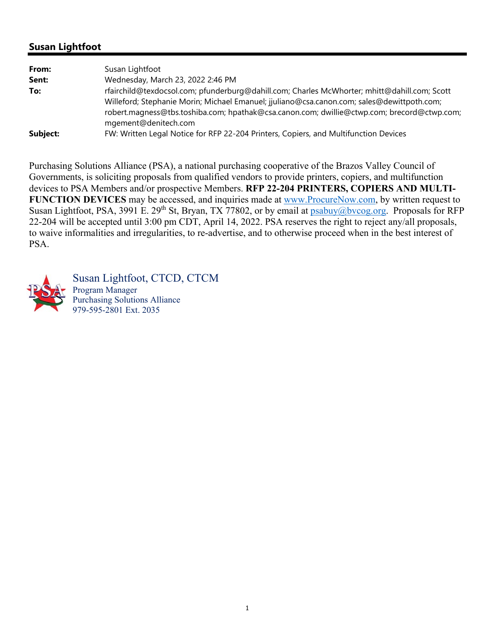## **Susan Lightfoot**

| From:    | Susan Lightfoot                                                                              |
|----------|----------------------------------------------------------------------------------------------|
| Sent:    | Wednesday, March 23, 2022 2:46 PM                                                            |
| To:      | rfairchild@texdocsol.com; pfunderburg@dahill.com; Charles McWhorter; mhitt@dahill.com; Scott |
|          | Willeford; Stephanie Morin; Michael Emanuel; jjuliano@csa.canon.com; sales@dewittpoth.com;   |
|          | robert.magness@tbs.toshiba.com; hpathak@csa.canon.com; dwillie@ctwp.com; brecord@ctwp.com;   |
|          | mgement@denitech.com                                                                         |
| Subject: | FW: Written Legal Notice for RFP 22-204 Printers, Copiers, and Multifunction Devices         |

Purchasing Solutions Alliance (PSA), a national purchasing cooperative of the Brazos Valley Council of Governments, is soliciting proposals from qualified vendors to provide printers, copiers, and multifunction devices to PSA Members and/or prospective Members. **RFP 22-204 PRINTERS, COPIERS AND MULTI-FUNCTION DEVICES** may be accessed, and inquiries made at www.ProcureNow.com, by written request to Susan Lightfoot, PSA, 3991 E. 29<sup>th</sup> St, Bryan, TX 77802, or by email at psabuy@bvcog.org. Proposals for RFP 22-204 will be accepted until 3:00 pm CDT, April 14, 2022. PSA reserves the right to reject any/all proposals, to waive informalities and irregularities, to re-advertise, and to otherwise proceed when in the best interest of PSA.



Susan Lightfoot, CTCD, CTCM Program Manager Purchasing Solutions Alliance 979-595-2801 Ext. 2035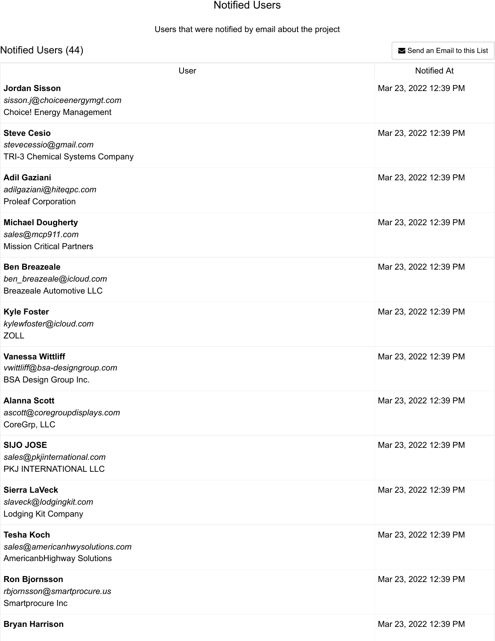## Notified Users

## Users that were notified by email about the project

| Notified Users (44)                                                                              | Send an Email to this List                  |  |
|--------------------------------------------------------------------------------------------------|---------------------------------------------|--|
| User<br><b>Jordan Sisson</b><br>sisson.j@choiceenergymgt.com<br><b>Choice! Energy Management</b> | <b>Notified At</b><br>Mar 23, 2022 12:39 PM |  |
| <b>Steve Cesio</b><br>stevecessio@gmail.com<br>TRI-3 Chemical Systems Company                    | Mar 23, 2022 12:39 PM                       |  |
| <b>Adil Gaziani</b><br>adilgaziani@hiteqpc.com<br><b>Proleaf Corporation</b>                     | Mar 23, 2022 12:39 PM                       |  |
| <b>Michael Dougherty</b><br>sales@mcp911.com<br><b>Mission Critical Partners</b>                 | Mar 23, 2022 12:39 PM                       |  |
| <b>Ben Breazeale</b><br>ben_breazeale@icloud.com<br><b>Breazeale Automotive LLC</b>              | Mar 23, 2022 12:39 PM                       |  |
| <b>Kyle Foster</b><br>kylewfoster@icloud.com<br><b>ZOLL</b>                                      | Mar 23, 2022 12:39 PM                       |  |
| <b>Vanessa Wittliff</b><br>vwittliff@bsa-designgroup.com<br><b>BSA Design Group Inc.</b>         | Mar 23, 2022 12:39 PM                       |  |
| <b>Alanna Scott</b><br>ascott@coregroupdisplays.com<br>CoreGrp, LLC                              | Mar 23, 2022 12:39 PM                       |  |
| <b>SIJO JOSE</b><br>sales@pkjinternational.com<br>PKJ INTERNATIONAL LLC                          | Mar 23, 2022 12:39 PM                       |  |
| <b>Sierra LaVeck</b><br>slaveck@lodgingkit.com<br>Lodging Kit Company                            | Mar 23, 2022 12:39 PM                       |  |
| <b>Tesha Koch</b><br>sales@americanhwysolutions.com<br>AmericanbHighway Solutions                | Mar 23, 2022 12:39 PM                       |  |
| <b>Ron Bjornsson</b><br>rbjornsson@smartprocure.us<br>Smartprocure Inc                           | Mar 23, 2022 12:39 PM                       |  |
| <b>Bryan Harrison</b>                                                                            | Mar 23, 2022 12:39 PM                       |  |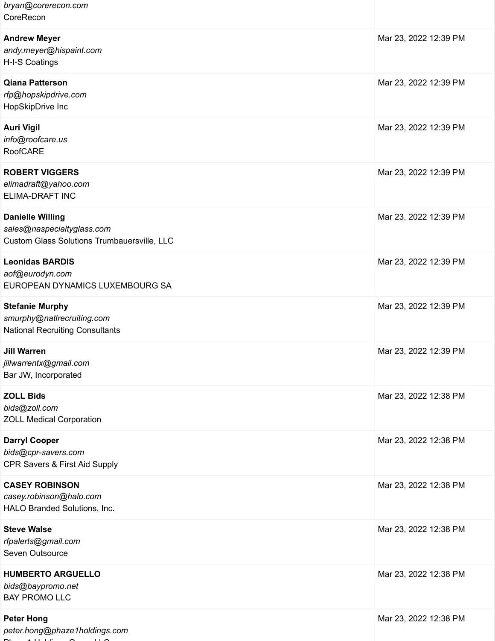| bryan@corerecon.com<br>CoreRecon                                                                            |                       |
|-------------------------------------------------------------------------------------------------------------|-----------------------|
| <b>Andrew Meyer</b><br>andy.meyer@hispaint.com<br>H-I-S Coatings                                            | Mar 23, 2022 12:39 PM |
| <b>Qiana Patterson</b><br>rfp@hopskipdrive.com<br>HopSkipDrive Inc                                          | Mar 23, 2022 12:39 PM |
| <b>Auri Vigil</b><br>info@roofcare.us<br><b>RoofCARE</b>                                                    | Mar 23, 2022 12:39 PM |
| <b>ROBERT VIGGERS</b><br>elimadraft@yahoo.com<br><b>ELIMA-DRAFT INC</b>                                     | Mar 23, 2022 12:39 PM |
| <b>Danielle Willing</b><br>sales@naspecialtyglass.com<br><b>Custom Glass Solutions Trumbauersville, LLC</b> | Mar 23, 2022 12:39 PM |
| <b>Leonidas BARDIS</b><br>aof@eurodyn.com<br>EUROPEAN DYNAMICS LUXEMBOURG SA                                | Mar 23, 2022 12:39 PM |
| <b>Stefanie Murphy</b><br>smurphy@natlrecruiting.com<br><b>National Recruiting Consultants</b>              | Mar 23, 2022 12:39 PM |
| <b>Jill Warren</b><br>jillwarrentx@gmail.com<br>Bar JW, Incorporated                                        | Mar 23, 2022 12:39 PM |
| <b>ZOLL Bids</b><br>bids@zoll.com<br><b>ZOLL Medical Corporation</b>                                        | Mar 23, 2022 12:38 PM |
| <b>Darryl Cooper</b><br>bids@cpr-savers.com<br>CPR Savers & First Aid Supply                                | Mar 23, 2022 12:38 PM |
| <b>CASEY ROBINSON</b><br>casey.robinson@halo.com<br>HALO Branded Solutions, Inc.                            | Mar 23, 2022 12:38 PM |
| <b>Steve Walse</b><br>rfpalerts@gmail.com<br>Seven Outsource                                                | Mar 23, 2022 12:38 PM |
| <b>HUMBERTO ARGUELLO</b><br>bids@baypromo.net<br><b>BAY PROMO LLC</b>                                       | Mar 23, 2022 12:38 PM |
| <b>Peter Hong</b>                                                                                           | Mar 23, 2022 12:38 PM |

*peter.hong@phaze1holdings.com* Philippine G LLC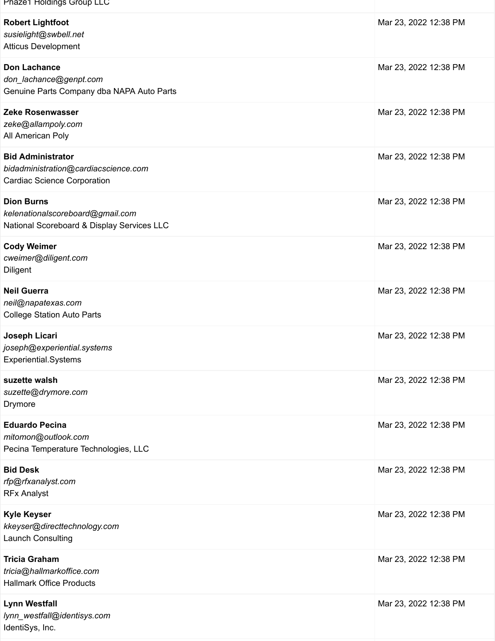| Phaze1 Holdings Group LLC                                                                              |                       |
|--------------------------------------------------------------------------------------------------------|-----------------------|
| <b>Robert Lightfoot</b><br>susielight@swbell.net<br><b>Atticus Development</b>                         | Mar 23, 2022 12:38 PM |
| <b>Don Lachance</b><br>don_lachance@genpt.com<br>Genuine Parts Company dba NAPA Auto Parts             | Mar 23, 2022 12:38 PM |
| Zeke Rosenwasser<br>zeke@allampoly.com<br>All American Poly                                            | Mar 23, 2022 12:38 PM |
| <b>Bid Administrator</b><br>bidadministration@cardiacscience.com<br><b>Cardiac Science Corporation</b> | Mar 23, 2022 12:38 PM |
| <b>Dion Burns</b><br>kelenationalscoreboard@gmail.com<br>National Scoreboard & Display Services LLC    | Mar 23, 2022 12:38 PM |
| <b>Cody Weimer</b><br>cweimer@diligent.com<br>Diligent                                                 | Mar 23, 2022 12:38 PM |
| <b>Neil Guerra</b><br>neil@napatexas.com<br><b>College Station Auto Parts</b>                          | Mar 23, 2022 12:38 PM |
| Joseph Licari<br>joseph@experiential.systems<br>Experiential.Systems                                   | Mar 23, 2022 12:38 PM |
| suzette walsh<br>suzette@drymore.com<br>Drymore                                                        | Mar 23, 2022 12:38 PM |
| <b>Eduardo Pecina</b><br>mitomon@outlook.com<br>Pecina Temperature Technologies, LLC                   | Mar 23, 2022 12:38 PM |
| <b>Bid Desk</b><br>rfp@rfxanalyst.com<br><b>RFx Analyst</b>                                            | Mar 23, 2022 12:38 PM |
| <b>Kyle Keyser</b><br>kkeyser@directtechnology.com<br><b>Launch Consulting</b>                         | Mar 23, 2022 12:38 PM |
| <b>Tricia Graham</b><br>tricia@hallmarkoffice.com<br><b>Hallmark Office Products</b>                   | Mar 23, 2022 12:38 PM |
| <b>Lynn Westfall</b><br>lynn_westfall@identisys.com<br>IdentiSys, Inc.                                 | Mar 23, 2022 12:38 PM |